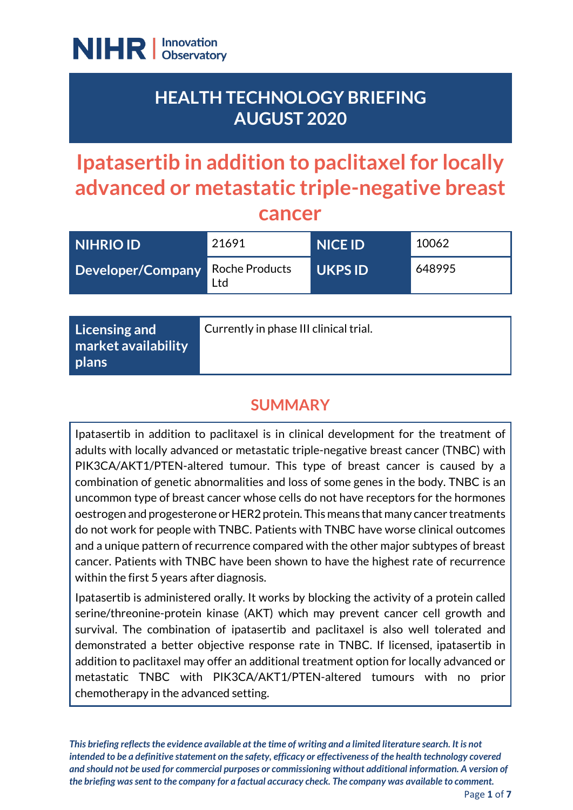

## **HEALTH TECHNOLOGY BRIEFING AUGUST 2020**

# **Ipatasertib in addition to paclitaxel for locally advanced or metastatic triple-negative breast cancer**

| <b>NIHRIO ID'</b>                       | 21691 | <b>NICE ID</b> | 10062  |
|-----------------------------------------|-------|----------------|--------|
| <b>Developer/Company Roche Products</b> | Ltd   | <b>UKPS ID</b> | 648995 |

### **SUMMARY**

Ipatasertib in addition to paclitaxel is in clinical development for the treatment of adults with locally advanced or metastatic triple-negative breast cancer (TNBC) with PIK3CA/AKT1/PTEN-altered tumour. This type of breast cancer is caused by a combination of genetic abnormalities and loss of some genes in the body. TNBC is an uncommon type of breast cancer whose cells do not have receptors for the hormones oestrogen and progesterone or HER2 protein. This means that many cancer treatments do not work for people with TNBC. Patients with TNBC have worse clinical outcomes and a unique pattern of recurrence compared with the other major subtypes of breast cancer. Patients with TNBC have been shown to have the highest rate of recurrence within the first 5 years after diagnosis.

Ipatasertib is administered orally. It works by blocking the activity of a protein called serine/threonine-protein kinase (AKT) which may prevent cancer cell growth and survival. The combination of ipatasertib and paclitaxel is also well tolerated and demonstrated a better objective response rate in TNBC. If licensed, ipatasertib in addition to paclitaxel may offer an additional treatment option for locally advanced or metastatic TNBC with PIK3CA/AKT1/PTEN-altered tumours with no prior chemotherapy in the advanced setting.

*This briefing reflects the evidence available at the time of writing and a limited literature search. It is not intended to be a definitive statement on the safety, efficacy or effectiveness of the health technology covered and should not be used for commercial purposes or commissioning without additional information. A version of the briefing was sent to the company for a factual accuracy check. The company was available to comment.*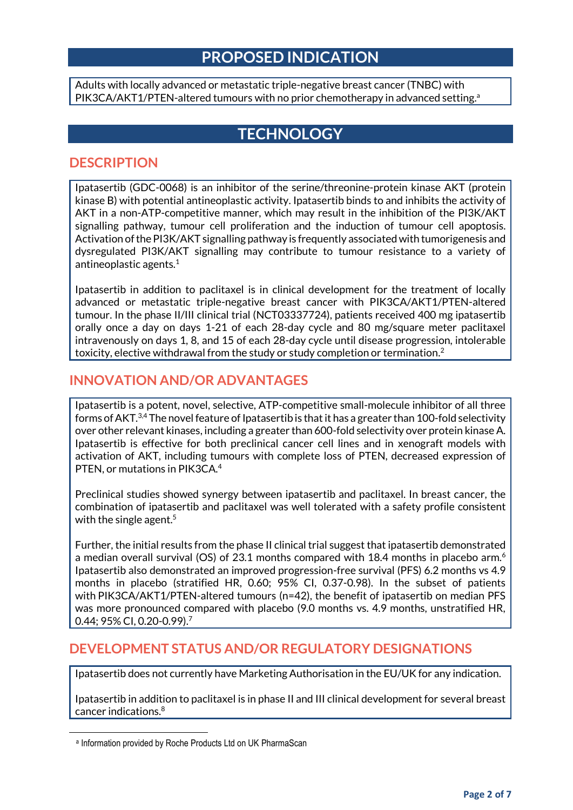#### **PROPOSED INDICATION**

Adults with locally advanced or metastatic triple-negative breast cancer (TNBC) with PIK3CA/AKT1/PTEN-altered tumours with no prior chemotherapy in advanced setting.<sup>a</sup>

### **TECHNOLOGY**

#### **DESCRIPTION**

Ipatasertib (GDC-0068) is an inhibitor of the serine/threonine-protein kinase AKT (protein kinase B) with potential antineoplastic activity. Ipatasertib binds to and inhibits the activity of AKT in a non-ATP-competitive manner, which may result in the inhibition of the PI3K/AKT signalling pathway, tumour cell proliferation and the induction of tumour cell apoptosis. Activation of the PI3K/AKT signalling pathway is frequently associated with tumorigenesis and dysregulated PI3K/AKT signalling may contribute to tumour resistance to a variety of antineoplastic agents. $^{\rm 1}$ 

Ipatasertib in addition to paclitaxel is in clinical development for the treatment of locally advanced or metastatic triple-negative breast cancer with PIK3CA/AKT1/PTEN-altered tumour. In the phase II/III clinical trial (NCT03337724), patients received 400 mg ipatasertib orally once a day on days 1-21 of each 28-day cycle and 80 mg/square meter paclitaxel intravenously on days 1, 8, and 15 of each 28-day cycle until disease progression, intolerable toxicity, elective withdrawal from the study or study completion or termination. $^2$ 

#### **INNOVATION AND/OR ADVANTAGES**

Ipatasertib is a potent, novel, selective, ATP-competitive small-molecule inhibitor of all three forms of AKT. $^{3,4}$  The novel feature of Ipatasertib is that it has a greater than 100-fold selectivity over other relevant kinases, including a greater than 600-fold selectivity over protein kinaseA. Ipatasertib is effective for both preclinical cancer cell lines and in xenograft models with activation of AKT, including tumours with complete loss of PTEN, decreased expression of PTEN, or mutations in PIK3CA.<sup>4</sup>

Preclinical studies showed synergy between ipatasertib and paclitaxel. In breast cancer, the combination of ipatasertib and paclitaxel was well tolerated with a safety profile consistent with the single agent. $^{\rm 5}$ 

Further, the initial results from the phase II clinical trial suggest that ipatasertib demonstrated a median overall survival (OS) of 23.1 months compared with 18.4 months in placebo arm.<sup>6</sup> Ipatasertib also demonstrated an improved progression-free survival (PFS) 6.2 months vs 4.9 months in placebo (stratified HR, 0.60; 95% CI, 0.37-0.98). In the subset of patients with PIK3CA/AKT1/PTEN-altered tumours (n=42), the benefit of ipatasertib on median PFS was more pronounced compared with placebo (9.0 months vs. 4.9 months, unstratified HR, 0.44; 95% CI, 0.20-0.99). 7

#### **DEVELOPMENT STATUS AND/OR REGULATORY DESIGNATIONS**

Ipatasertib does not currently have Marketing Authorisation in the EU/UK for any indication.

Ipatasertib in addition to paclitaxel is in phase II and III clinical development for several breast cancer indications. 8

**.** 

a Information provided by Roche Products Ltd on UK PharmaScan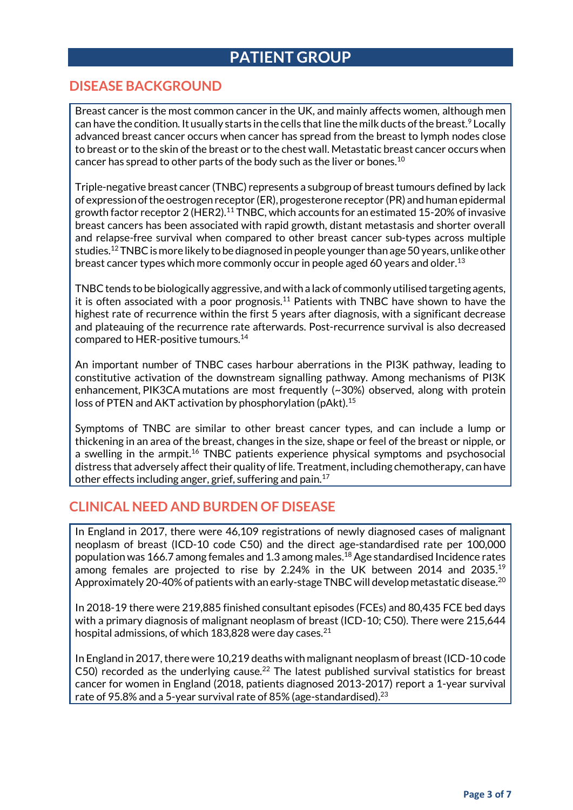### **PATIENT GROUP**

#### **DISEASE BACKGROUND**

Breast cancer is the most common cancer in the UK, and mainly affects women, although men can have the condition. It usually starts in the cells that line the milk ducts of the breast.<sup>9</sup> Locally advanced breast cancer occurs when cancer has spread from the breast to lymph nodes close to breast or to the skin of the breast or to the chest wall. Metastatic breast cancer occurs when cancer has spread to other parts of the body such as the liver or bones.<sup>10</sup>

Triple-negative breast cancer (TNBC) represents a subgroup of breast tumours defined by lack of expression of the oestrogen receptor (ER), progesterone receptor (PR) and human epidermal growth factor receptor 2 (HER2).<sup>11</sup> TNBC, which accounts for an estimated 15-20% of invasive breast cancers has been associated with rapid growth, distant metastasis and shorter overall and relapse-free survival when compared to other breast cancer sub-types across multiple studies. $^{12}$  TNBC is more likely to be diagnosed in people younger than age 50 years, unlike other breast cancer types which more commonly occur in people aged 60 years and older.<sup>13</sup>

TNBC tends to be biologically aggressive, and with a lack of commonly utilised targeting agents, it is often associated with a poor prognosis.<sup>11</sup> Patients with TNBC have shown to have the highest rate of recurrence within the first 5 years after diagnosis, with a significant decrease and plateauing of the recurrence rate afterwards. Post-recurrence survival is also decreased compared to HER-positive tumours.<sup>14</sup>

An important number of TNBC cases harbour aberrations in the PI3K pathway, leading to constitutive activation of the downstream signalling pathway. Among mechanisms of PI3K enhancement, PIK3CA mutations are most frequently (~30%) observed, along with protein loss of PTEN and AKT activation by phosphorylation (pAkt).<sup>15</sup>

Symptoms of TNBC are similar to other breast cancer types, and can include a lump or thickening in an area of the breast, changes in the size, shape or feel of the breast or nipple, or a swelling in the armpit.<sup>16</sup> TNBC patients experience physical symptoms and psychosocial distress that adversely affect their quality of life. Treatment, including chemotherapy, can have other effects including anger, grief, suffering and pain.<sup>17</sup>

#### **CLINICAL NEED AND BURDEN OF DISEASE**

In England in 2017, there were 46,109 registrations of newly diagnosed cases of malignant neoplasm of breast (ICD-10 code C50) and the direct age-standardised rate per 100,000 population was 166.7 among females and 1.3 among males.<sup>18</sup> Age standardised Incidence rates among females are projected to rise by 2.24% in the UK between 2014 and 2035.<sup>19</sup> Approximately 20-40% of patients with an early-stage TNBC will develop metastatic disease. $^{20}$ 

In 2018-19 there were 219,885 finished consultant episodes (FCEs) and 80,435 FCE bed days with a primary diagnosis of malignant neoplasm of breast (ICD-10; C50). There were 215,644 hospital admissions, of which 183,828 were day cases.<sup>21</sup>

In England in 2017, there were 10,219 deaths with malignant neoplasm of breast (ICD-10 code  $C$ 50) recorded as the underlying cause.<sup>22</sup> The latest published survival statistics for breast cancer for women in England (2018, patients diagnosed 2013-2017) report a 1-year survival rate of 95.8% and a 5-year survival rate of 85% (age-standardised).<sup>23</sup>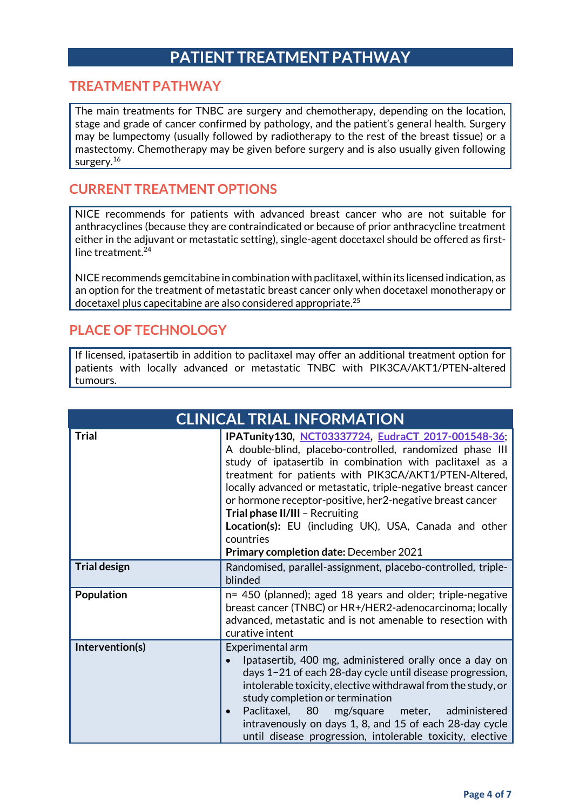### **PATIENT TREATMENT PATHWAY**

#### **TREATMENT PATHWAY**

The main treatments for TNBC are surgery and chemotherapy, depending on the location, stage and grade of cancer confirmed by pathology, and the patient's general health. Surgery may be lumpectomy (usually followed by radiotherapy to the rest of the breast tissue) or a mastectomy. Chemotherapy may be given before surgery and is also usually given following surgery.<sup>16</sup>

#### **CURRENT TREATMENT OPTIONS**

NICE recommends for patients with advanced breast cancer who are not suitable for anthracyclines (because they are contraindicated or because of prior anthracycline treatment either in the adjuvant or metastatic setting), single-agent docetaxel should be offered as firstline treatment. 24

NICE recommends gemcitabine in combination with paclitaxel, within its licensed indication, as an option for the treatment of metastatic breast cancer only when docetaxel monotherapy or docetaxel plus capecitabine are also considered appropriate. 25

#### **PLACE OF TECHNOLOGY**

If licensed, ipatasertib in addition to paclitaxel may offer an additional treatment option for patients with locally advanced or metastatic TNBC with PIK3CA/AKT1/PTEN-altered tumours.

| <b>CLINICAL TRIAL INFORMATION</b> |                                                                                                                                                                                                                                                                                                                                                                                                                                                                                                                       |  |  |
|-----------------------------------|-----------------------------------------------------------------------------------------------------------------------------------------------------------------------------------------------------------------------------------------------------------------------------------------------------------------------------------------------------------------------------------------------------------------------------------------------------------------------------------------------------------------------|--|--|
| <b>Trial</b>                      | IPATunity130, NCT03337724, EudraCT 2017-001548-36;<br>A double-blind, placebo-controlled, randomized phase III<br>study of ipatasertib in combination with paclitaxel as a<br>treatment for patients with PIK3CA/AKT1/PTEN-Altered,<br>locally advanced or metastatic, triple-negative breast cancer<br>or hormone receptor-positive, her 2-negative breast cancer<br>Trial phase II/III - Recruiting<br>Location(s): EU (including UK), USA, Canada and other<br>countries<br>Primary completion date: December 2021 |  |  |
| <b>Trial design</b>               | Randomised, parallel-assignment, placebo-controlled, triple-<br>blinded                                                                                                                                                                                                                                                                                                                                                                                                                                               |  |  |
| Population                        | n= 450 (planned); aged 18 years and older; triple-negative<br>breast cancer (TNBC) or HR+/HER2-adenocarcinoma; locally<br>advanced, metastatic and is not amenable to resection with<br>curative intent                                                                                                                                                                                                                                                                                                               |  |  |
| Intervention(s)                   | Experimental arm<br>Ipatasertib, 400 mg, administered orally once a day on<br>days 1-21 of each 28-day cycle until disease progression,<br>intolerable toxicity, elective withdrawal from the study, or<br>study completion or termination<br>Paclitaxel, 80<br>mg/square<br>meter, administered<br>intravenously on days 1, 8, and 15 of each 28-day cycle<br>until disease progression, intolerable toxicity, elective                                                                                              |  |  |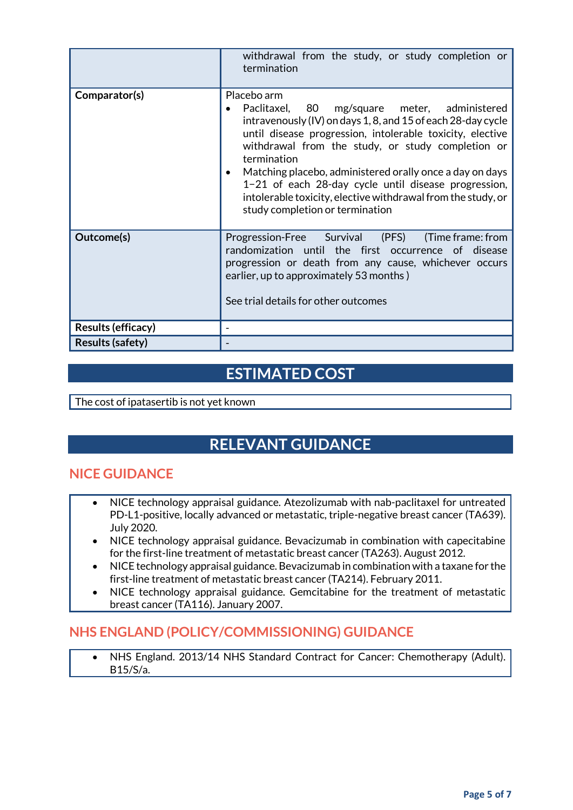|                         | withdrawal from the study, or study completion or<br>termination                                                                                                                                                                                                                                                                                                                                                                                                                    |
|-------------------------|-------------------------------------------------------------------------------------------------------------------------------------------------------------------------------------------------------------------------------------------------------------------------------------------------------------------------------------------------------------------------------------------------------------------------------------------------------------------------------------|
| Comparator(s)           | Placebo arm<br>Paclitaxel, 80 mg/square meter, administered<br>intravenously (IV) on days 1, 8, and 15 of each 28-day cycle<br>until disease progression, intolerable toxicity, elective<br>withdrawal from the study, or study completion or<br>termination<br>Matching placebo, administered orally once a day on days<br>1-21 of each 28-day cycle until disease progression,<br>intolerable toxicity, elective withdrawal from the study, or<br>study completion or termination |
| Outcome(s)              | Progression-Free Survival (PFS)<br>(Time frame: from<br>randomization until the first occurrence of disease<br>progression or death from any cause, whichever occurs<br>earlier, up to approximately 53 months)<br>See trial details for other outcomes                                                                                                                                                                                                                             |
| Results (efficacy)      |                                                                                                                                                                                                                                                                                                                                                                                                                                                                                     |
| <b>Results (safety)</b> |                                                                                                                                                                                                                                                                                                                                                                                                                                                                                     |

### **ESTIMATED COST**

The cost of ipatasertib is not yet known

### **RELEVANT GUIDANCE**

#### **NICE GUIDANCE**

- NICE technology appraisal guidance. Atezolizumab with nab-paclitaxel for untreated PD-L1-positive, locally advanced or metastatic, triple-negative breast cancer (TA639). July 2020.
- NICE technology appraisal guidance. Bevacizumab in combination with capecitabine for the first-line treatment of metastatic breast cancer (TA263). August 2012.
- NICE technology appraisal guidance. Bevacizumab in combination with a taxane for the first-line treatment of metastatic breast cancer (TA214). February 2011.
- NICE technology appraisal guidance. Gemcitabine for the treatment of metastatic breast cancer (TA116). January 2007.

#### **NHS ENGLAND (POLICY/COMMISSIONING) GUIDANCE**

 NHS England. 2013/14 NHS Standard Contract for Cancer: Chemotherapy (Adult). B15/S/a.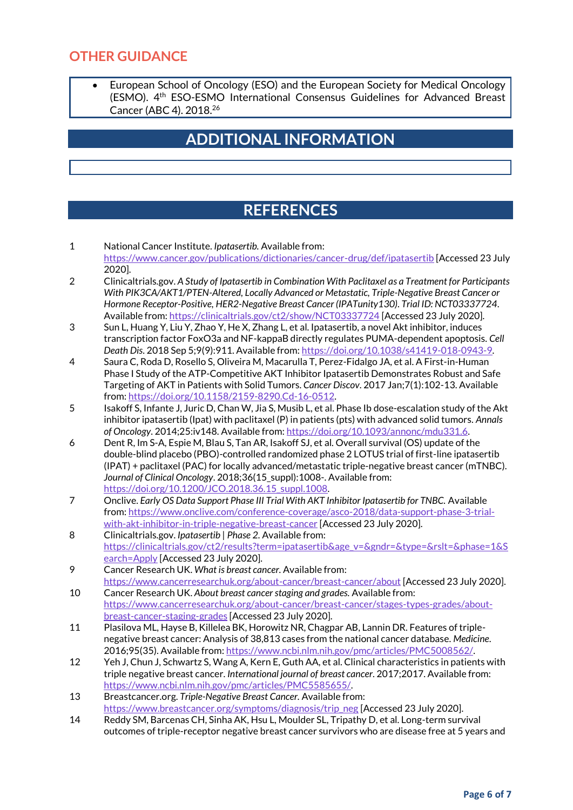#### **OTHER GUIDANCE**

 European School of Oncology (ESO) and the European Society for Medical Oncology (ESMO). 4th ESO-ESMO International Consensus Guidelines for Advanced Breast Cancer (ABC 4). 2018. 26

### **ADDITIONAL INFORMATION**

### **REFERENCES**

- 1 National Cancer Institute. *Ipatasertib.* Available from: <https://www.cancer.gov/publications/dictionaries/cancer-drug/def/ipatasertib> [Accessed 23 July 2020].
- 2 Clinicaltrials.gov. *A Study of Ipatasertib in Combination With Paclitaxel as a Treatment for Participants With PIK3CA/AKT1/PTEN-Altered, Locally Advanced or Metastatic, Triple-Negative Breast Cancer or Hormone Receptor-Positive, HER2-Negative Breast Cancer (IPATunity130)*. *Trial ID: NCT03337724*. Available from[: https://clinicaltrials.gov/ct2/show/NCT03337724](https://clinicaltrials.gov/ct2/show/NCT03337724) [Accessed 23 July 2020].
- 3 Sun L, Huang Y, Liu Y, Zhao Y, He X, Zhang L, et al. Ipatasertib, a novel Akt inhibitor, induces transcription factor FoxO3a and NF-kappaB directly regulates PUMA-dependent apoptosis. *Cell Death Dis*. 2018 Sep 5;9(9):911. Available from[: https://doi.org/10.1038/s41419-018-0943-9.](https://doi.org/10.1038/s41419-018-0943-9)
- 4 Saura C, Roda D, Rosello S, Oliveira M, Macarulla T, Perez-Fidalgo JA, et al. A First-in-Human Phase I Study of the ATP-Competitive AKT Inhibitor Ipatasertib Demonstrates Robust and Safe Targeting of AKT in Patients with Solid Tumors. *Cancer Discov*. 2017 Jan;7(1):102-13. Available from[: https://doi.org/10.1158/2159-8290.Cd-16-0512.](https://doi.org/10.1158/2159-8290.Cd-16-0512)
- 5 Isakoff S, Infante J, Juric D, Chan W, Jia S, Musib L, et al. Phase Ib dose-escalation study of the Akt inhibitor ipatasertib (Ipat) with paclitaxel (P) in patients (pts) with advanced solid tumors. *Annals of Oncology*. 2014;25:iv148. Available from: [https://doi.org/10.1093/annonc/mdu331.6.](https://doi.org/10.1093/annonc/mdu331.6)
- 6 Dent R, Im S-A, Espie M, Blau S, Tan AR, Isakoff SJ, et al. Overall survival (OS) update of the double-blind placebo (PBO)-controlled randomized phase 2 LOTUS trial of first-line ipatasertib (IPAT) + paclitaxel (PAC) for locally advanced/metastatic triple-negative breast cancer (mTNBC). *Journal of Clinical Oncology*. 2018;36(15\_suppl):1008-. Available from: [https://doi.org/10.1200/JCO.2018.36.15\\_suppl.1008.](https://doi.org/10.1200/JCO.2018.36.15_suppl.1008)
- 7 Onclive. *Early OS Data Support Phase III Trial With AKT Inhibitor Ipatasertib for TNBC.* Available from[: https://www.onclive.com/conference-coverage/asco-2018/data-support-phase-3-trial](https://www.onclive.com/conference-coverage/asco-2018/data-support-phase-3-trial-with-akt-inhibitor-in-triple-negative-breast-cancer)[with-akt-inhibitor-in-triple-negative-breast-cancer](https://www.onclive.com/conference-coverage/asco-2018/data-support-phase-3-trial-with-akt-inhibitor-in-triple-negative-breast-cancer) [Accessed 23 July 2020].
- 8 Clinicaltrials.gov. *Ipatasertib | Phase 2.* Available from: [https://clinicaltrials.gov/ct2/results?term=ipatasertib&age\\_v=&gndr=&type=&rslt=&phase=1&S](https://clinicaltrials.gov/ct2/results?term=ipatasertib&age_v=&gndr=&type=&rslt=&phase=1&Search=Apply) [earch=Apply](https://clinicaltrials.gov/ct2/results?term=ipatasertib&age_v=&gndr=&type=&rslt=&phase=1&Search=Apply) [Accessed 23 July 2020].
- 9 Cancer Research UK. *What is breast cancer.* Available from: <https://www.cancerresearchuk.org/about-cancer/breast-cancer/about> [Accessed 23 July 2020].
- 10 Cancer Research UK. *About breast cancer staging and grades.* Available from: [https://www.cancerresearchuk.org/about-cancer/breast-cancer/stages-types-grades/about](https://www.cancerresearchuk.org/about-cancer/breast-cancer/stages-types-grades/about-breast-cancer-staging-grades)[breast-cancer-staging-grades](https://www.cancerresearchuk.org/about-cancer/breast-cancer/stages-types-grades/about-breast-cancer-staging-grades) [Accessed 23 July 2020].
- 11 Plasilova ML, Hayse B, Killelea BK, Horowitz NR, Chagpar AB, Lannin DR. Features of triplenegative breast cancer: Analysis of 38,813 cases from the national cancer database. *Medicine*. 2016;95(35). Available from[: https://www.ncbi.nlm.nih.gov/pmc/articles/PMC5008562/.](https://www.ncbi.nlm.nih.gov/pmc/articles/PMC5008562/)
- 12 Yeh J, Chun J, Schwartz S, Wang A, Kern E, Guth AA, et al. Clinical characteristics in patients with triple negative breast cancer. *International journal of breast cancer*. 2017;2017. Available from: [https://www.ncbi.nlm.nih.gov/pmc/articles/PMC5585655/.](https://www.ncbi.nlm.nih.gov/pmc/articles/PMC5585655/)
- 13 Breastcancer.org. *Triple-Negative Breast Cancer.* Available from: [https://www.breastcancer.org/symptoms/diagnosis/trip\\_neg](https://www.breastcancer.org/symptoms/diagnosis/trip_neg) [Accessed 23 July 2020].
- 14 Reddy SM, Barcenas CH, Sinha AK, Hsu L, Moulder SL, Tripathy D, et al. Long-term survival outcomes of triple-receptor negative breast cancer survivors who are disease free at 5 years and